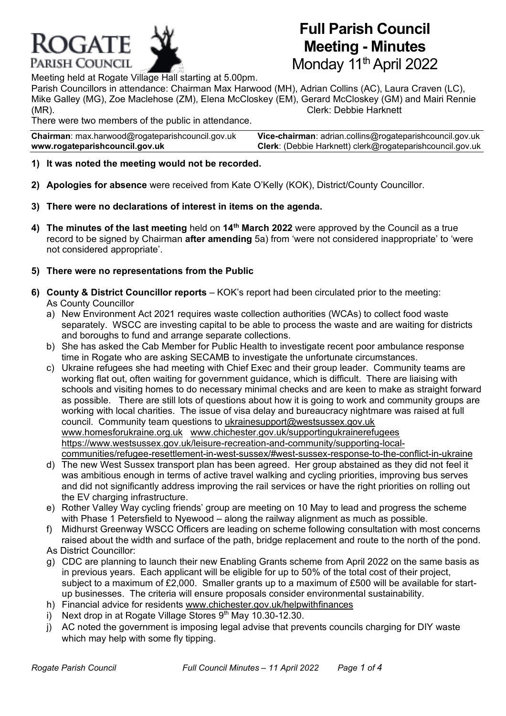

Meeting held at Rogate Village Hall starting at 5.00pm.

Parish Councillors in attendance: Chairman Max Harwood (MH), Adrian Collins (AC), Laura Craven (LC), Mike Galley (MG), Zoe Maclehose (ZM), Elena McCloskey (EM), Gerard McCloskey (GM) and Mairi Rennie (MR). Clerk: Debbie Harknett

**Full Parish Council**

**Meeting - Minutes**

Monday 11<sup>th</sup> April 2022

There were two members of the public in attendance.

**Chairman**: max.harwoo[d@rogateparishcouncil.gov.uk](mailto:max.harwood@rogateparishcouncil.gov.uk) **Vice-chairman**: adrian.collins@rogateparishcouncil.gov.uk **www.rogateparishcouncil.gov.uk Clerk**: (Debbie Harknett) [clerk@rogateparishcouncil.gov.uk](mailto:clerk@rogateparishcouncil.gov.uk)

- **1) It was noted the meeting would not be recorded.**
- **2) Apologies for absence** were received from Kate O'Kelly (KOK), District/County Councillor.
- **3) There were no declarations of interest in items on the agenda.**
- **4) The minutes of the last meeting** held on **14th March 2022** were approved by the Council as a true record to be signed by Chairman **after amending** 5a) from 'were not considered inappropriate' to 'were not considered appropriate'.
- **5) There were no representations from the Public**
- **6) County & District Councillor reports** KOK's report had been circulated prior to the meeting: As County Councillor
	- a) New Environment Act 2021 requires waste collection authorities (WCAs) to collect food waste separately. WSCC are investing capital to be able to process the waste and are waiting for districts and boroughs to fund and arrange separate collections.
	- b) She has asked the Cab Member for Public Health to investigate recent poor ambulance response time in Rogate who are asking SECAMB to investigate the unfortunate circumstances.
	- c) Ukraine refugees she had meeting with Chief Exec and their group leader. Community teams are working flat out, often waiting for government guidance, which is difficult. There are liaising with schools and visiting homes to do necessary minimal checks and are keen to make as straight forward as possible. There are still lots of questions about how it is going to work and community groups are working with local charities. The issue of visa delay and bureaucracy nightmare was raised at full council. Community team questions to [ukrainesupport@westsussex.gov.uk](mailto:ukrainesupport@westsussex.gov.uk) [www.homesforukraine.org.uk](http://www.homesforukraine.org.uk/) [www.chichester.gov.uk/supportingukrainerefugees](http://www.chichester.gov.uk/supportingukrainerefugees) [https://www.westsussex.gov.uk/leisure-recreation-and-community/supporting-local](https://www.westsussex.gov.uk/leisure-recreation-and-community/supporting-local-communities/refugee-resettlement-in-west-sussex/#west-sussex-response-to-the-conflict-in-ukraine)[communities/refugee-resettlement-in-west-sussex/#west-sussex-response-to-the-conflict-in-ukraine](https://www.westsussex.gov.uk/leisure-recreation-and-community/supporting-local-communities/refugee-resettlement-in-west-sussex/#west-sussex-response-to-the-conflict-in-ukraine)
	- d) The new West Sussex transport plan has been agreed. Her group abstained as they did not feel it was ambitious enough in terms of active travel walking and cycling priorities, improving bus serves and did not significantly address improving the rail services or have the right priorities on rolling out the EV charging infrastructure.
	- e) Rother Valley Way cycling friends' group are meeting on 10 May to lead and progress the scheme with Phase 1 Petersfield to Nyewood – along the railway alignment as much as possible.
	- f) Midhurst Greenway WSCC Officers are leading on scheme following consultation with most concerns raised about the width and surface of the path, bridge replacement and route to the north of the pond.

As District Councillor:

- g) CDC are planning to launch their new Enabling Grants scheme from April 2022 on the same basis as in previous years. Each applicant will be eligible for up to 50% of the total cost of their project, subject to a maximum of £2,000. Smaller grants up to a maximum of £500 will be available for startup businesses. The criteria will ensure proposals consider environmental sustainability.
- h) Financial advice for residents [www.chichester.gov.uk/helpwithfinances](http://www.chichester.gov.uk/helpwithfinances)
- i) Next drop in at Rogate Village Stores 9<sup>th</sup> May 10.30-12.30.
- j) AC noted the government is imposing legal advise that prevents councils charging for DIY waste which may help with some fly tipping.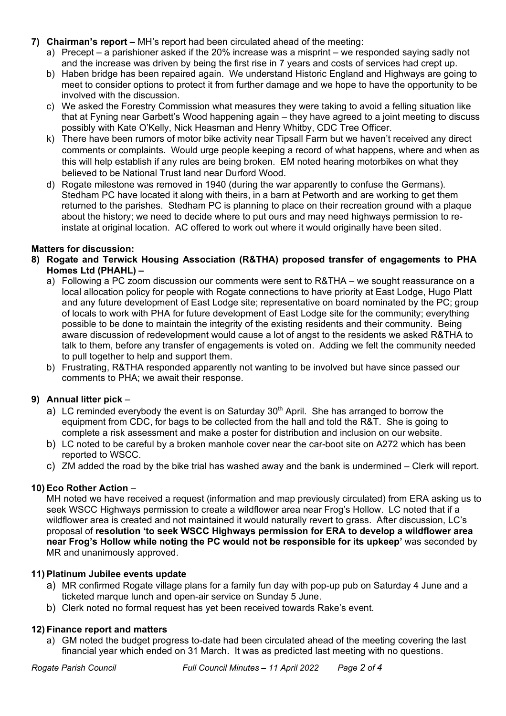- **7) Chairman's report –** MH's report had been circulated ahead of the meeting:
	- a) Precept a parishioner asked if the 20% increase was a misprint we responded saying sadly not and the increase was driven by being the first rise in 7 years and costs of services had crept up.
	- b) Haben bridge has been repaired again. We understand Historic England and Highways are going to meet to consider options to protect it from further damage and we hope to have the opportunity to be involved with the discussion.
	- c) We asked the Forestry Commission what measures they were taking to avoid a felling situation like that at Fyning near Garbett's Wood happening again – they have agreed to a joint meeting to discuss possibly with Kate O'Kelly, Nick Heasman and Henry Whitby, CDC Tree Officer.
	- k) There have been rumors of motor bike activity near Tipsall Farm but we haven't received any direct comments or complaints. Would urge people keeping a record of what happens, where and when as this will help establish if any rules are being broken. EM noted hearing motorbikes on what they believed to be National Trust land near Durford Wood.
	- d) Rogate milestone was removed in 1940 (during the war apparently to confuse the Germans). Stedham PC have located it along with theirs, in a barn at Petworth and are working to get them returned to the parishes. Stedham PC is planning to place on their recreation ground with a plaque about the history; we need to decide where to put ours and may need highways permission to reinstate at original location. AC offered to work out where it would originally have been sited.

# **Matters for discussion:**

- **8) Rogate and Terwick Housing Association (R&THA) proposed transfer of engagements to PHA Homes Ltd (PHAHL) –**
	- a) Following a PC zoom discussion our comments were sent to R&THA we sought reassurance on a local allocation policy for people with Rogate connections to have priority at East Lodge, Hugo Platt and any future development of East Lodge site; representative on board nominated by the PC; group of locals to work with PHA for future development of East Lodge site for the community; everything possible to be done to maintain the integrity of the existing residents and their community. Being aware discussion of redevelopment would cause a lot of angst to the residents we asked R&THA to talk to them, before any transfer of engagements is voted on. Adding we felt the community needed to pull together to help and support them.
	- b) Frustrating, R&THA responded apparently not wanting to be involved but have since passed our comments to PHA; we await their response.

# **9) Annual litter pick** –

- a) LC reminded everybody the event is on Saturday  $30<sup>th</sup>$  April. She has arranged to borrow the equipment from CDC, for bags to be collected from the hall and told the R&T. She is going to complete a risk assessment and make a poster for distribution and inclusion on our website.
- b) LC noted to be careful by a broken manhole cover near the car-boot site on A272 which has been reported to WSCC.
- c) ZM added the road by the bike trial has washed away and the bank is undermined Clerk will report.

# **10) Eco Rother Action** –

MH noted we have received a request (information and map previously circulated) from ERA asking us to seek WSCC Highways permission to create a wildflower area near Frog's Hollow. LC noted that if a wildflower area is created and not maintained it would naturally revert to grass. After discussion, LC's proposal of **resolution 'to seek WSCC Highways permission for ERA to develop a wildflower area near Frog's Hollow while noting the PC would not be responsible for its upkeep'** was seconded by MR and unanimously approved.

# **11) Platinum Jubilee events update**

- a) MR confirmed Rogate village plans for a family fun day with pop-up pub on Saturday 4 June and a ticketed marque lunch and open-air service on Sunday 5 June.
- b) Clerk noted no formal request has yet been received towards Rake's event.

# **12) Finance report and matters**

a) GM noted the budget progress to-date had been circulated ahead of the meeting covering the last financial year which ended on 31 March. It was as predicted last meeting with no questions.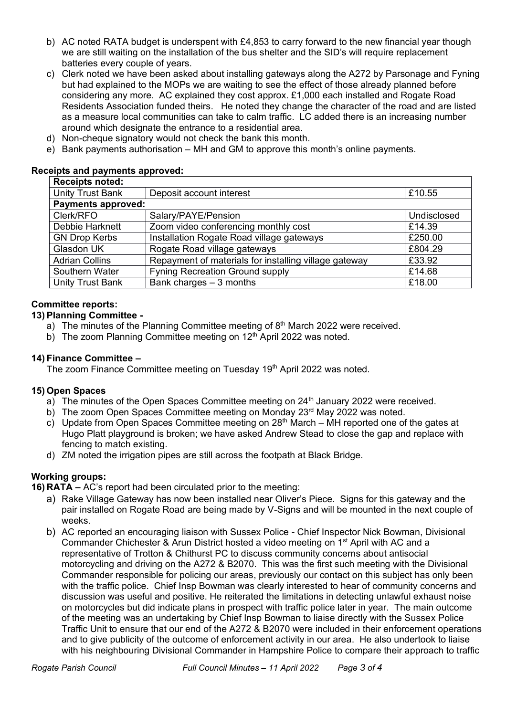- b) AC noted RATA budget is underspent with £4,853 to carry forward to the new financial year though we are still waiting on the installation of the bus shelter and the SID's will require replacement batteries every couple of years.
- c) Clerk noted we have been asked about installing gateways along the A272 by Parsonage and Fyning but had explained to the MOPs we are waiting to see the effect of those already planned before considering any more. AC explained they cost approx. £1,000 each installed and Rogate Road Residents Association funded theirs. He noted they change the character of the road and are listed as a measure local communities can take to calm traffic. LC added there is an increasing number around which designate the entrance to a residential area.
- d) Non-cheque signatory would not check the bank this month.
- e) Bank payments authorisation MH and GM to approve this month's online payments.

#### **Receipts and payments approved:**

| <b>Receipts noted:</b>    |                                                       |             |
|---------------------------|-------------------------------------------------------|-------------|
| Unity Trust Bank          | Deposit account interest                              | £10.55      |
| <b>Payments approved:</b> |                                                       |             |
| Clerk/RFO                 | Salary/PAYE/Pension                                   | Undisclosed |
| Debbie Harknett           | Zoom video conferencing monthly cost                  | £14.39      |
| <b>GN Drop Kerbs</b>      | Installation Rogate Road village gateways             | £250.00     |
| Glasdon UK                | Rogate Road village gateways                          | £804.29     |
| <b>Adrian Collins</b>     | Repayment of materials for installing village gateway | £33.92      |
| Southern Water            | <b>Fyning Recreation Ground supply</b>                | £14.68      |
| Unity Trust Bank          | Bank charges $-3$ months                              | £18.00      |

# **Committee reports:**

#### **13) Planning Committee -**

- a) The minutes of the Planning Committee meeting of  $8<sup>th</sup>$  March 2022 were received.
- b) The zoom Planning Committee meeting on  $12<sup>th</sup>$  April 2022 was noted.

#### **14) Finance Committee –**

The zoom Finance Committee meeting on Tuesday 19<sup>th</sup> April 2022 was noted.

# **15) Open Spaces**

- a) The minutes of the Open Spaces Committee meeting on  $24<sup>th</sup>$  January 2022 were received.
- b) The zoom Open Spaces Committee meeting on Monday 23<sup>rd</sup> May 2022 was noted.
- c) Update from Open Spaces Committee meeting on  $28<sup>th</sup>$  March MH reported one of the gates at Hugo Platt playground is broken; we have asked Andrew Stead to close the gap and replace with fencing to match existing.
- d) ZM noted the irrigation pipes are still across the footpath at Black Bridge.

# **Working groups:**

**16) RATA –** AC's report had been circulated prior to the meeting:

- a) Rake Village Gateway has now been installed near Oliver's Piece. Signs for this gateway and the pair installed on Rogate Road are being made by V-Signs and will be mounted in the next couple of weeks.
- b) AC reported an encouraging liaison with Sussex Police Chief Inspector Nick Bowman, Divisional Commander Chichester & Arun District hosted a video meeting on 1<sup>st</sup> April with AC and a representative of Trotton & Chithurst PC to discuss community concerns about antisocial motorcycling and driving on the A272 & B2070. This was the first such meeting with the Divisional Commander responsible for policing our areas, previously our contact on this subject has only been with the traffic police. Chief Insp Bowman was clearly interested to hear of community concerns and discussion was useful and positive. He reiterated the limitations in detecting unlawful exhaust noise on motorcycles but did indicate plans in prospect with traffic police later in year. The main outcome of the meeting was an undertaking by Chief Insp Bowman to liaise directly with the Sussex Police Traffic Unit to ensure that our end of the A272 & B2070 were included in their enforcement operations and to give publicity of the outcome of enforcement activity in our area. He also undertook to liaise with his neighbouring Divisional Commander in Hampshire Police to compare their approach to traffic